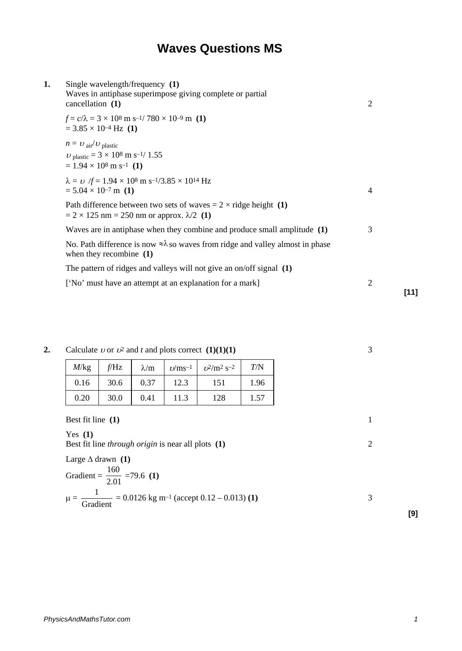## **Waves Questions MS**

| Single wavelength/frequency (1)<br>Waves in antiphase superimpose giving complete or partial<br>cancellation (1)                                      | 2 |     |
|-------------------------------------------------------------------------------------------------------------------------------------------------------|---|-----|
| $f = c/\lambda = 3 \times 10^8 \text{ m s}^{-1} / 780 \times 10^{-9} \text{ m}$ (1)<br>$= 3.85 \times 10^{-4}$ Hz (1)                                 |   |     |
| $n = U_{\text{air}}/U_{\text{plastic}}$<br>$v_{\text{plastic}} = 3 \times 10^8 \text{ m s}^{-1} / 1.55$<br>$= 1.94 \times 10^8$ m s <sup>-1</sup> (1) |   |     |
| $\lambda = \nu$ /f = 1.94 × 10 <sup>8</sup> m s <sup>-1</sup> /3.85 × 10 <sup>14</sup> Hz<br>$= 5.04 \times 10^{-7}$ m (1)                            | 4 |     |
| Path difference between two sets of waves = $2 \times$ ridge height (1)<br>$= 2 \times 125$ nm = 250 nm or approx. $\lambda/2$ (1)                    |   |     |
| Waves are in antiphase when they combine and produce small amplitude $(1)$                                                                            | 3 |     |
| No. Path difference is now $\approx \lambda$ so waves from ridge and valley almost in phase<br>when they recombine $(1)$                              |   |     |
| The pattern of ridges and valleys will not give an on/off signal $(1)$                                                                                |   |     |
| ['No' must have an attempt at an explanation for a mark]                                                                                              | 2 | r1' |
|                                                                                                                                                       |   |     |

**2.** Calculate *v* or  $v^2$  and *t* and plots correct **(1)(1)(1)** 3

| M/kg | f/Hz | $\lambda/m$ | $\nu$ /ms <sup>-1</sup> | $v^2/m^2 s^{-2}$ | T/N  |
|------|------|-------------|-------------------------|------------------|------|
| 0.16 | 30.6 | 0.37        | 12.3                    | 151              | 1.96 |
| 0.20 | 30.0 | 0.41        | 11.3                    | 128              | 1.57 |

Best fit line **(1)** 1 Yes **(1)** Best fit line *through origin* is near all plots **(1)** 2 Large ∆ drawn **(1)** Gradient =  $\frac{188}{2.01}$ 160 =79.6 **(1)**  $\mu = \frac{1}{\text{Gradient}} = 0.0126 \text{ kg m}^{-1} (\text{accept } 0.12 - 0.013) \text{ (1)}$  3

**[11]**

**[9]**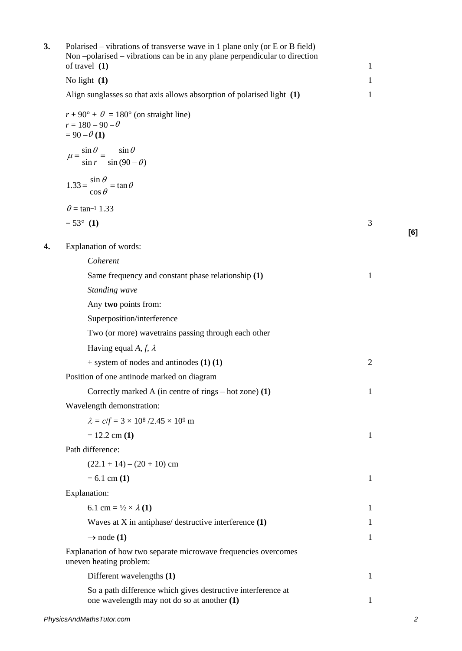| 3. | Polarised – vibrations of transverse wave in 1 plane only (or E or B field)<br>Non-polarised – vibrations can be in any plane perpendicular to direction<br>of travel $(1)$ | $\mathbf{1}$   |     |
|----|-----------------------------------------------------------------------------------------------------------------------------------------------------------------------------|----------------|-----|
|    | No light $(1)$                                                                                                                                                              | $\mathbf{1}$   |     |
|    | Align sunglasses so that axis allows absorption of polarised light (1)                                                                                                      | 1              |     |
|    | $r + 90^{\circ} + \theta = 180^{\circ}$ (on straight line)<br>$r = 180 - 90 - \theta$<br>$= 90 - \theta (1)$                                                                |                |     |
|    | $\mu = \frac{\sin \theta}{\sin r} = \frac{\sin \theta}{\sin (90 - \theta)}$                                                                                                 |                |     |
|    | $1.33 = \frac{\sin \theta}{\cos \theta} = \tan \theta$                                                                                                                      |                |     |
|    | $\theta$ = tan <sup>-1</sup> 1.33                                                                                                                                           |                |     |
|    | $= 53^{\circ}$ (1)                                                                                                                                                          | 3              | [6] |
| 4. | Explanation of words:                                                                                                                                                       |                |     |
|    | Coherent                                                                                                                                                                    |                |     |
|    | Same frequency and constant phase relationship (1)                                                                                                                          | $\mathbf{1}$   |     |
|    | Standing wave                                                                                                                                                               |                |     |
|    | Any two points from:                                                                                                                                                        |                |     |
|    | Superposition/interference                                                                                                                                                  |                |     |
|    | Two (or more) wavetrains passing through each other                                                                                                                         |                |     |
|    | Having equal A, f, $\lambda$                                                                                                                                                |                |     |
|    | $+$ system of nodes and antinodes (1) (1)                                                                                                                                   | $\overline{c}$ |     |
|    | Position of one antinode marked on diagram                                                                                                                                  |                |     |
|    | Correctly marked A (in centre of rings – hot zone) (1)                                                                                                                      | $\mathbf{1}$   |     |
|    | Wavelength demonstration:                                                                                                                                                   |                |     |
|    | $\lambda = c/f = 3 \times 10^8 / 2.45 \times 10^9$ m                                                                                                                        |                |     |
|    | $= 12.2$ cm $(1)$                                                                                                                                                           | 1              |     |
|    | Path difference:                                                                                                                                                            |                |     |
|    | $(22.1 + 14) - (20 + 10)$ cm                                                                                                                                                |                |     |
|    | $= 6.1$ cm $(1)$                                                                                                                                                            | 1              |     |
|    | Explanation:                                                                                                                                                                |                |     |
|    | 6.1 cm = $\frac{1}{2} \times \lambda (1)$                                                                                                                                   | 1              |     |
|    | Waves at $X$ in antiphase/ destructive interference $(1)$                                                                                                                   | 1              |     |
|    | $\rightarrow$ node (1)                                                                                                                                                      | 1              |     |
|    | Explanation of how two separate microwave frequencies overcomes<br>uneven heating problem:                                                                                  |                |     |
|    | Different wavelengths (1)                                                                                                                                                   | 1              |     |
|    | So a path difference which gives destructive interference at<br>one wavelength may not do so at another (1)                                                                 | $\mathbf{1}$   |     |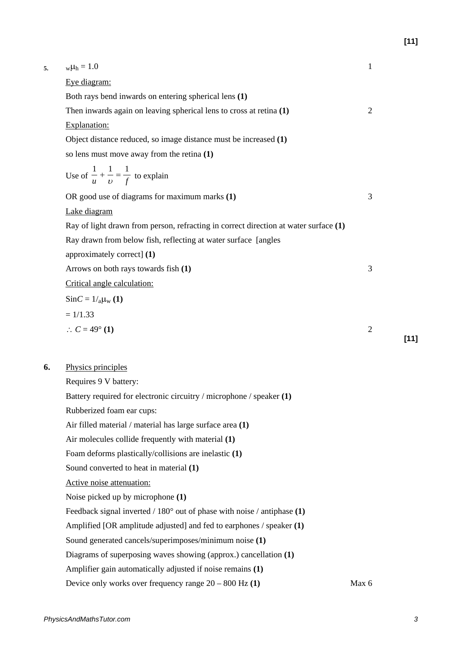| 5. | $w\mu_h = 1.0$                                                                       | $\mathbf{1}$   |        |
|----|--------------------------------------------------------------------------------------|----------------|--------|
|    | Eye diagram:                                                                         |                |        |
|    | Both rays bend inwards on entering spherical lens (1)                                |                |        |
|    | Then inwards again on leaving spherical lens to cross at retina $(1)$                | $\overline{2}$ |        |
|    | Explanation:                                                                         |                |        |
|    | Object distance reduced, so image distance must be increased (1)                     |                |        |
|    | so lens must move away from the retina $(1)$                                         |                |        |
|    | Use of $\frac{1}{u} + \frac{1}{v} = \frac{1}{f}$ to explain                          |                |        |
|    | OR good use of diagrams for maximum marks (1)                                        | 3              |        |
|    | Lake diagram                                                                         |                |        |
|    | Ray of light drawn from person, refracting in correct direction at water surface (1) |                |        |
|    | Ray drawn from below fish, reflecting at water surface [angles]                      |                |        |
|    | approximately correct] (1)                                                           |                |        |
|    | Arrows on both rays towards fish (1)                                                 | 3              |        |
|    | Critical angle calculation:                                                          |                |        |
|    | $Sinc = 1/_{a}\mu_{w}(1)$                                                            |                |        |
|    | $= 1/1.33$                                                                           |                |        |
|    | $\therefore C = 49^{\circ} (1)$                                                      | $\mathfrak{2}$ | $[11]$ |
|    |                                                                                      |                |        |
| 6. | Physics principles                                                                   |                |        |
|    | Requires 9 V battery:                                                                |                |        |
|    | Battery required for electronic circuitry / microphone / speaker (1)                 |                |        |
|    | Rubberized foam ear cups:                                                            |                |        |
|    | Air filled material / material has large surface area (1)                            |                |        |
|    | Air molecules collide frequently with material (1)                                   |                |        |
|    | Foam deforms plastically/collisions are inelastic (1)                                |                |        |
|    | Sound converted to heat in material (1)                                              |                |        |
|    | Active noise attenuation:                                                            |                |        |
|    | Noise picked up by microphone (1)                                                    |                |        |
|    | Feedback signal inverted / $180^\circ$ out of phase with noise / antiphase (1)       |                |        |
|    | Amplified [OR amplitude adjusted] and fed to earphones $/$ speaker $(1)$             |                |        |
|    | Sound generated cancels/superimposes/minimum noise (1)                               |                |        |
|    | Diagrams of superposing waves showing (approx.) cancellation (1)                     |                |        |
|    | Amplifier gain automatically adjusted if noise remains (1)                           |                |        |
|    | Device only works over frequency range $20 - 800$ Hz $(1)$                           | Max 6          |        |
|    |                                                                                      |                |        |

**[11]**